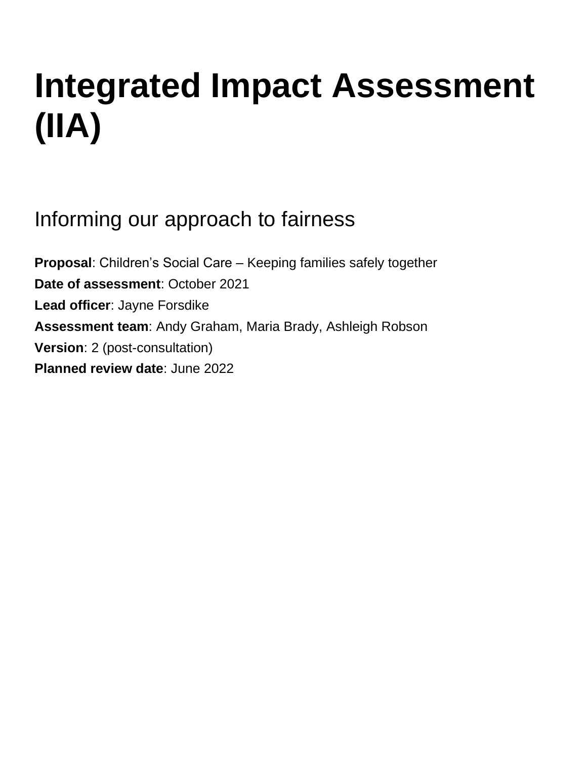# **Integrated Impact Assessment (IIA)**

Informing our approach to fairness

**Proposal**: Children's Social Care – Keeping families safely together **Date of assessment**: October 2021 **Lead officer**: Jayne Forsdike **Assessment team**: Andy Graham, Maria Brady, Ashleigh Robson **Version**: 2 (post-consultation) **Planned review date**: June 2022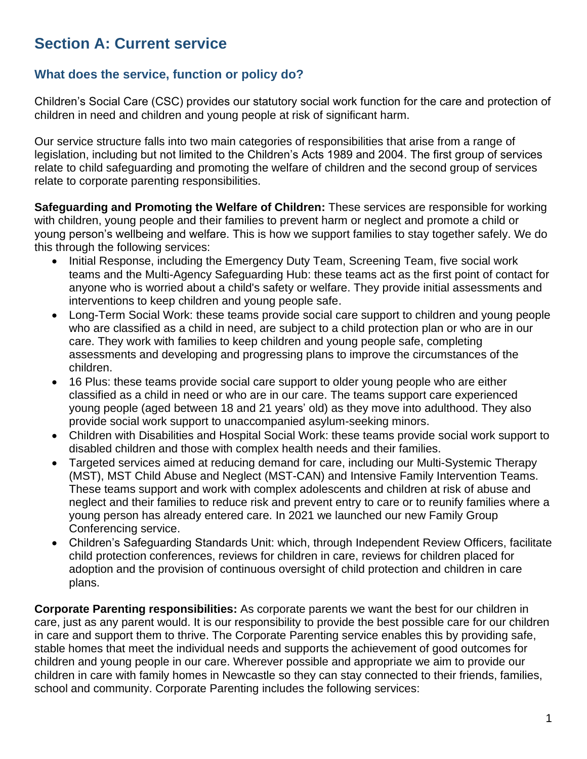# **Section A: Current service**

# **What does the service, function or policy do?**

Children's Social Care (CSC) provides our statutory social work function for the care and protection of children in need and children and young people at risk of significant harm.

Our service structure falls into two main categories of responsibilities that arise from a range of legislation, including but not limited to the Children's Acts 1989 and 2004. The first group of services relate to child safeguarding and promoting the welfare of children and the second group of services relate to corporate parenting responsibilities.

**Safeguarding and Promoting the Welfare of Children:** These services are responsible for working with children, young people and their families to prevent harm or neglect and promote a child or young person's wellbeing and welfare. This is how we support families to stay together safely. We do this through the following services:

- Initial Response, including the Emergency Duty Team, Screening Team, five social work teams and the Multi-Agency Safeguarding Hub: these teams act as the first point of contact for anyone who is worried about a child's safety or welfare. They provide initial assessments and interventions to keep children and young people safe.
- Long-Term Social Work: these teams provide social care support to children and young people who are classified as a child in need, are subject to a child protection plan or who are in our care. They work with families to keep children and young people safe, completing assessments and developing and progressing plans to improve the circumstances of the children.
- 16 Plus: these teams provide social care support to older young people who are either classified as a child in need or who are in our care. The teams support care experienced young people (aged between 18 and 21 years' old) as they move into adulthood. They also provide social work support to unaccompanied asylum-seeking minors.
- Children with Disabilities and Hospital Social Work: these teams provide social work support to disabled children and those with complex health needs and their families.
- Targeted services aimed at reducing demand for care, including our Multi-Systemic Therapy (MST), MST Child Abuse and Neglect (MST-CAN) and Intensive Family Intervention Teams. These teams support and work with complex adolescents and children at risk of abuse and neglect and their families to reduce risk and prevent entry to care or to reunify families where a young person has already entered care. In 2021 we launched our new Family Group Conferencing service.
- Children's Safeguarding Standards Unit: which, through Independent Review Officers, facilitate child protection conferences, reviews for children in care, reviews for children placed for adoption and the provision of continuous oversight of child protection and children in care plans.

**Corporate Parenting responsibilities:** As corporate parents we want the best for our children in care, just as any parent would. It is our responsibility to provide the best possible care for our children in care and support them to thrive. The Corporate Parenting service enables this by providing safe, stable homes that meet the individual needs and supports the achievement of good outcomes for children and young people in our care. Wherever possible and appropriate we aim to provide our children in care with family homes in Newcastle so they can stay connected to their friends, families, school and community. Corporate Parenting includes the following services: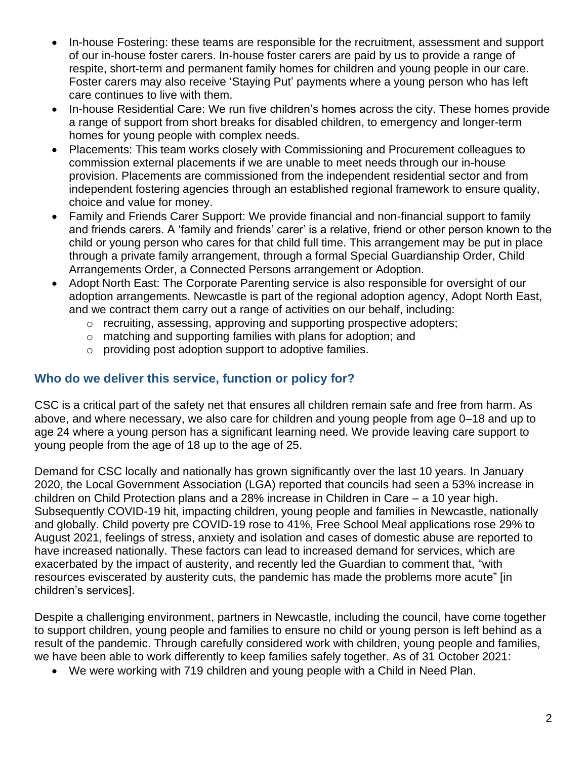- In-house Fostering: these teams are responsible for the recruitment, assessment and support of our in-house foster carers. In-house foster carers are paid by us to provide a range of respite, short-term and permanent family homes for children and young people in our care. Foster carers may also receive 'Staying Put' payments where a young person who has left care continues to live with them.
- In-house Residential Care: We run five children's homes across the city. These homes provide a range of support from short breaks for disabled children, to emergency and longer-term homes for young people with complex needs.
- Placements: This team works closely with Commissioning and Procurement colleagues to commission external placements if we are unable to meet needs through our in-house provision. Placements are commissioned from the independent residential sector and from independent fostering agencies through an established regional framework to ensure quality, choice and value for money.
- Family and Friends Carer Support: We provide financial and non-financial support to family and friends carers. A 'family and friends' carer' is a relative, friend or other person known to the child or young person who cares for that child full time. This arrangement may be put in place through a private family arrangement, through a formal Special Guardianship Order, Child Arrangements Order, a Connected Persons arrangement or Adoption.
- Adopt North East: The Corporate Parenting service is also responsible for oversight of our adoption arrangements. Newcastle is part of the regional adoption agency, Adopt North East, and we contract them carry out a range of activities on our behalf, including:
	- $\circ$  recruiting, assessing, approving and supporting prospective adopters;
	- o matching and supporting families with plans for adoption; and
	- o providing post adoption support to adoptive families.

# **Who do we deliver this service, function or policy for?**

CSC is a critical part of the safety net that ensures all children remain safe and free from harm. As above, and where necessary, we also care for children and young people from age 0–18 and up to age 24 where a young person has a significant learning need. We provide leaving care support to young people from the age of 18 up to the age of 25.

Demand for CSC locally and nationally has grown significantly over the last 10 years. In January 2020, the Local Government Association (LGA) reported that councils had seen a 53% increase in children on Child Protection plans and a 28% increase in Children in Care – a 10 year high. Subsequently COVID-19 hit, impacting children, young people and families in Newcastle, nationally and globally. Child poverty pre COVID-19 rose to 41%, Free School Meal applications rose 29% to August 2021, feelings of stress, anxiety and isolation and cases of domestic abuse are reported to have increased nationally. These factors can lead to increased demand for services, which are exacerbated by the impact of austerity, and recently led the Guardian to comment that, "with resources eviscerated by austerity cuts, the pandemic has made the problems more acute" [in children's services].

Despite a challenging environment, partners in Newcastle, including the council, have come together to support children, young people and families to ensure no child or young person is left behind as a result of the pandemic. Through carefully considered work with children, young people and families, we have been able to work differently to keep families safely together. As of 31 October 2021:

• We were working with 719 children and young people with a Child in Need Plan.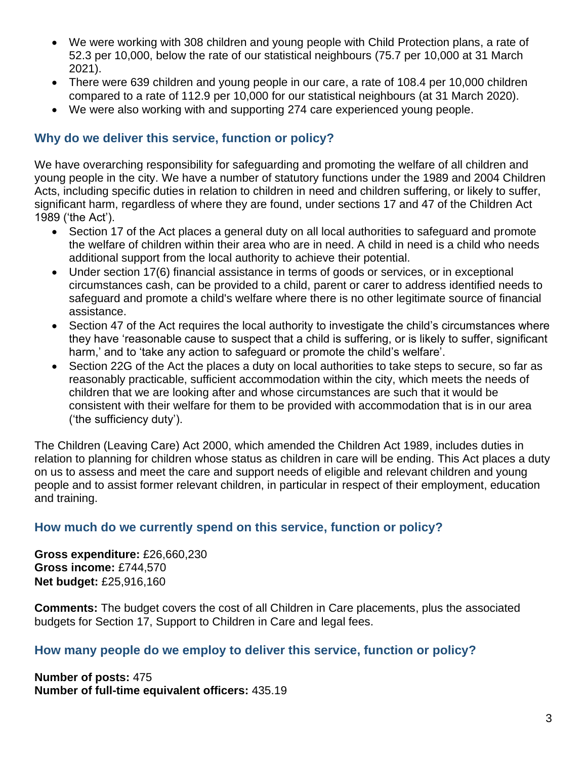- We were working with 308 children and young people with Child Protection plans, a rate of 52.3 per 10,000, below the rate of our statistical neighbours (75.7 per 10,000 at 31 March 2021).
- There were 639 children and young people in our care, a rate of 108.4 per 10,000 children compared to a rate of 112.9 per 10,000 for our statistical neighbours (at 31 March 2020).
- We were also working with and supporting 274 care experienced young people.

# **Why do we deliver this service, function or policy?**

We have overarching responsibility for safeguarding and promoting the welfare of all children and young people in the city. We have a number of statutory functions under the 1989 and 2004 Children Acts, including specific duties in relation to children in need and children suffering, or likely to suffer, significant harm, regardless of where they are found, under sections 17 and 47 of the Children Act 1989 ('the Act').

- Section 17 of the Act places a general duty on all local authorities to safeguard and promote the welfare of children within their area who are in need. A child in need is a child who needs additional support from the local authority to achieve their potential.
- Under section 17(6) financial assistance in terms of goods or services, or in exceptional circumstances cash, can be provided to a child, parent or carer to address identified needs to safeguard and promote a child's welfare where there is no other legitimate source of financial assistance.
- Section 47 of the Act requires the local authority to investigate the child's circumstances where they have 'reasonable cause to suspect that a child is suffering, or is likely to suffer, significant harm,' and to 'take any action to safeguard or promote the child's welfare'.
- Section 22G of the Act the places a duty on local authorities to take steps to secure, so far as reasonably practicable, sufficient accommodation within the city, which meets the needs of children that we are looking after and whose circumstances are such that it would be consistent with their welfare for them to be provided with accommodation that is in our area ('the sufficiency duty').

The Children (Leaving Care) Act 2000, which amended the Children Act 1989, includes duties in relation to planning for children whose status as children in care will be ending. This Act places a duty on us to assess and meet the care and support needs of eligible and relevant children and young people and to assist former relevant children, in particular in respect of their employment, education and training.

# **How much do we currently spend on this service, function or policy?**

**Gross expenditure:** £26,660,230 **Gross income:** £744,570 **Net budget:** £25,916,160

**Comments:** The budget covers the cost of all Children in Care placements, plus the associated budgets for Section 17, Support to Children in Care and legal fees.

# **How many people do we employ to deliver this service, function or policy?**

**Number of posts:** 475 **Number of full-time equivalent officers:** 435.19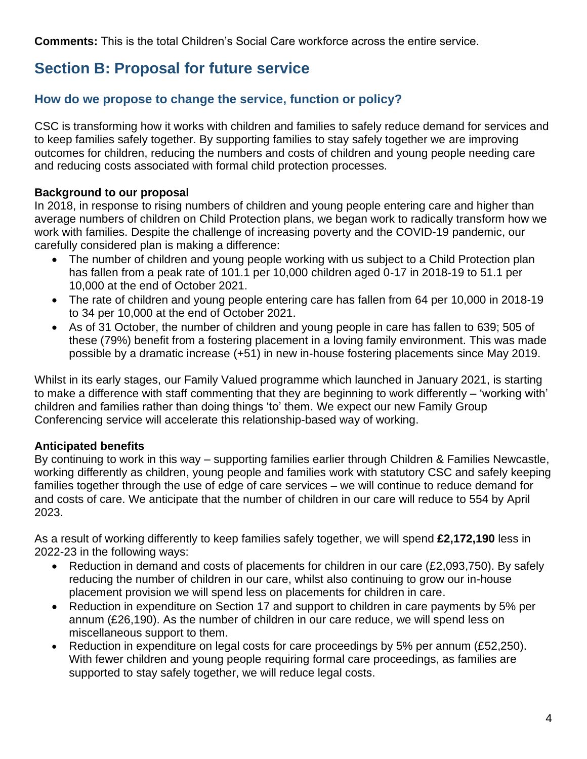**Comments:** This is the total Children's Social Care workforce across the entire service.

# **Section B: Proposal for future service**

# **How do we propose to change the service, function or policy?**

CSC is transforming how it works with children and families to safely reduce demand for services and to keep families safely together. By supporting families to stay safely together we are improving outcomes for children, reducing the numbers and costs of children and young people needing care and reducing costs associated with formal child protection processes.

# **Background to our proposal**

In 2018, in response to rising numbers of children and young people entering care and higher than average numbers of children on Child Protection plans, we began work to radically transform how we work with families. Despite the challenge of increasing poverty and the COVID-19 pandemic, our carefully considered plan is making a difference:

- The number of children and young people working with us subject to a Child Protection plan has fallen from a peak rate of 101.1 per 10,000 children aged 0-17 in 2018-19 to 51.1 per 10,000 at the end of October 2021.
- The rate of children and young people entering care has fallen from 64 per 10,000 in 2018-19 to 34 per 10,000 at the end of October 2021.
- As of 31 October, the number of children and young people in care has fallen to 639; 505 of these (79%) benefit from a fostering placement in a loving family environment. This was made possible by a dramatic increase (+51) in new in-house fostering placements since May 2019.

Whilst in its early stages, our Family Valued programme which launched in January 2021, is starting to make a difference with staff commenting that they are beginning to work differently – 'working with' children and families rather than doing things 'to' them. We expect our new Family Group Conferencing service will accelerate this relationship-based way of working.

# **Anticipated benefits**

By continuing to work in this way – supporting families earlier through Children & Families Newcastle, working differently as children, young people and families work with statutory CSC and safely keeping families together through the use of edge of care services – we will continue to reduce demand for and costs of care. We anticipate that the number of children in our care will reduce to 554 by April 2023.

As a result of working differently to keep families safely together, we will spend **£2,172,190** less in 2022-23 in the following ways:

- Reduction in demand and costs of placements for children in our care (£2,093,750). By safely reducing the number of children in our care, whilst also continuing to grow our in-house placement provision we will spend less on placements for children in care.
- Reduction in expenditure on Section 17 and support to children in care payments by 5% per annum (£26,190). As the number of children in our care reduce, we will spend less on miscellaneous support to them.
- Reduction in expenditure on legal costs for care proceedings by 5% per annum (£52,250). With fewer children and young people requiring formal care proceedings, as families are supported to stay safely together, we will reduce legal costs.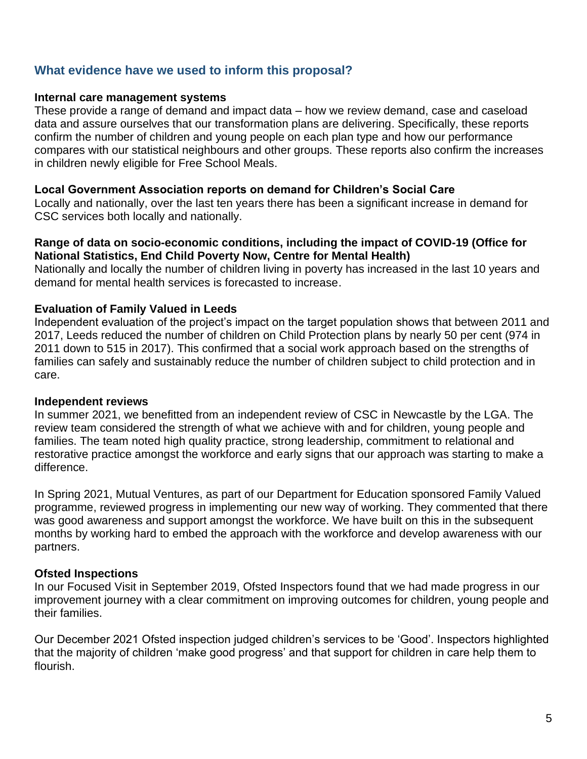# **What evidence have we used to inform this proposal?**

#### **Internal care management systems**

These provide a range of demand and impact data – how we review demand, case and caseload data and assure ourselves that our transformation plans are delivering. Specifically, these reports confirm the number of children and young people on each plan type and how our performance compares with our statistical neighbours and other groups. These reports also confirm the increases in children newly eligible for Free School Meals.

#### **Local Government Association reports on demand for Children's Social Care**

Locally and nationally, over the last ten years there has been a significant increase in demand for CSC services both locally and nationally.

#### **Range of data on socio-economic conditions, including the impact of COVID-19 (Office for National Statistics, End Child Poverty Now, Centre for Mental Health)**

Nationally and locally the number of children living in poverty has increased in the last 10 years and demand for mental health services is forecasted to increase.

#### **Evaluation of Family Valued in Leeds**

Independent evaluation of the project's impact on the target population shows that between 2011 and 2017, Leeds reduced the number of children on Child Protection plans by nearly 50 per cent (974 in 2011 down to 515 in 2017). This confirmed that a social work approach based on the strengths of families can safely and sustainably reduce the number of children subject to child protection and in care.

#### **Independent reviews**

In summer 2021, we benefitted from an independent review of CSC in Newcastle by the LGA. The review team considered the strength of what we achieve with and for children, young people and families. The team noted high quality practice, strong leadership, commitment to relational and restorative practice amongst the workforce and early signs that our approach was starting to make a difference.

In Spring 2021, Mutual Ventures, as part of our Department for Education sponsored Family Valued programme, reviewed progress in implementing our new way of working. They commented that there was good awareness and support amongst the workforce. We have built on this in the subsequent months by working hard to embed the approach with the workforce and develop awareness with our partners.

# **Ofsted Inspections**

In our Focused Visit in September 2019, Ofsted Inspectors found that we had made progress in our improvement journey with a clear commitment on improving outcomes for children, young people and their families.

Our December 2021 Ofsted inspection judged children's services to be 'Good'. Inspectors highlighted that the majority of children 'make good progress' and that support for children in care help them to flourish.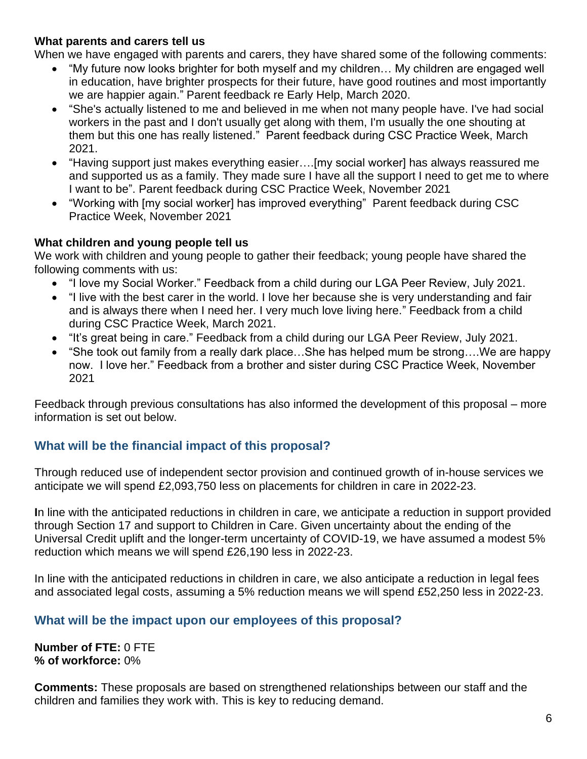#### **What parents and carers tell us**

When we have engaged with parents and carers, they have shared some of the following comments:

- "My future now looks brighter for both myself and my children… My children are engaged well in education, have brighter prospects for their future, have good routines and most importantly we are happier again." Parent feedback re Early Help, March 2020.
- "She's actually listened to me and believed in me when not many people have. I've had social workers in the past and I don't usually get along with them, I'm usually the one shouting at them but this one has really listened." Parent feedback during CSC Practice Week, March 2021.
- "Having support just makes everything easier….[my social worker] has always reassured me and supported us as a family. They made sure I have all the support I need to get me to where I want to be". Parent feedback during CSC Practice Week, November 2021
- "Working with [my social worker] has improved everything" Parent feedback during CSC Practice Week, November 2021

#### **What children and young people tell us**

We work with children and young people to gather their feedback; young people have shared the following comments with us:

- "I love my Social Worker." Feedback from a child during our LGA Peer Review, July 2021.
- "I live with the best carer in the world. I love her because she is very understanding and fair and is always there when I need her. I very much love living here." Feedback from a child during CSC Practice Week, March 2021.
- "It's great being in care." Feedback from a child during our LGA Peer Review, July 2021.
- "She took out family from a really dark place…She has helped mum be strong….We are happy now. I love her." Feedback from a brother and sister during CSC Practice Week, November 2021

Feedback through previous consultations has also informed the development of this proposal – more information is set out below.

# **What will be the financial impact of this proposal?**

Through reduced use of independent sector provision and continued growth of in-house services we anticipate we will spend £2,093,750 less on placements for children in care in 2022-23.

**I**n line with the anticipated reductions in children in care, we anticipate a reduction in support provided through Section 17 and support to Children in Care. Given uncertainty about the ending of the Universal Credit uplift and the longer-term uncertainty of COVID-19, we have assumed a modest 5% reduction which means we will spend £26,190 less in 2022-23.

In line with the anticipated reductions in children in care, we also anticipate a reduction in legal fees and associated legal costs, assuming a 5% reduction means we will spend £52,250 less in 2022-23.

# **What will be the impact upon our employees of this proposal?**

**Number of FTE:** 0 FTE **% of workforce:** 0%

**Comments:** These proposals are based on strengthened relationships between our staff and the children and families they work with. This is key to reducing demand.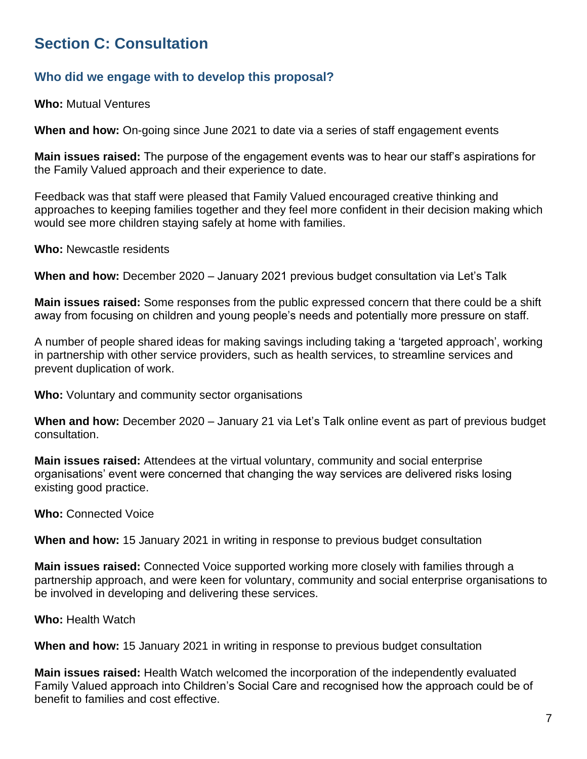# **Section C: Consultation**

# **Who did we engage with to develop this proposal?**

**Who:** Mutual Ventures

**When and how:** On-going since June 2021 to date via a series of staff engagement events

**Main issues raised:** The purpose of the engagement events was to hear our staff's aspirations for the Family Valued approach and their experience to date.

Feedback was that staff were pleased that Family Valued encouraged creative thinking and approaches to keeping families together and they feel more confident in their decision making which would see more children staying safely at home with families.

**Who:** Newcastle residents

**When and how:** December 2020 – January 2021 previous budget consultation via Let's Talk

**Main issues raised:** Some responses from the public expressed concern that there could be a shift away from focusing on children and young people's needs and potentially more pressure on staff.

A number of people shared ideas for making savings including taking a 'targeted approach', working in partnership with other service providers, such as health services, to streamline services and prevent duplication of work.

**Who:** Voluntary and community sector organisations

**When and how:** December 2020 – January 21 via Let's Talk online event as part of previous budget consultation.

**Main issues raised:** Attendees at the virtual voluntary, community and social enterprise organisations' event were concerned that changing the way services are delivered risks losing existing good practice.

**Who:** Connected Voice

**When and how:** 15 January 2021 in writing in response to previous budget consultation

**Main issues raised:** Connected Voice supported working more closely with families through a partnership approach, and were keen for voluntary, community and social enterprise organisations to be involved in developing and delivering these services.

**Who:** Health Watch

**When and how:** 15 January 2021 in writing in response to previous budget consultation

**Main issues raised:** Health Watch welcomed the incorporation of the independently evaluated Family Valued approach into Children's Social Care and recognised how the approach could be of benefit to families and cost effective.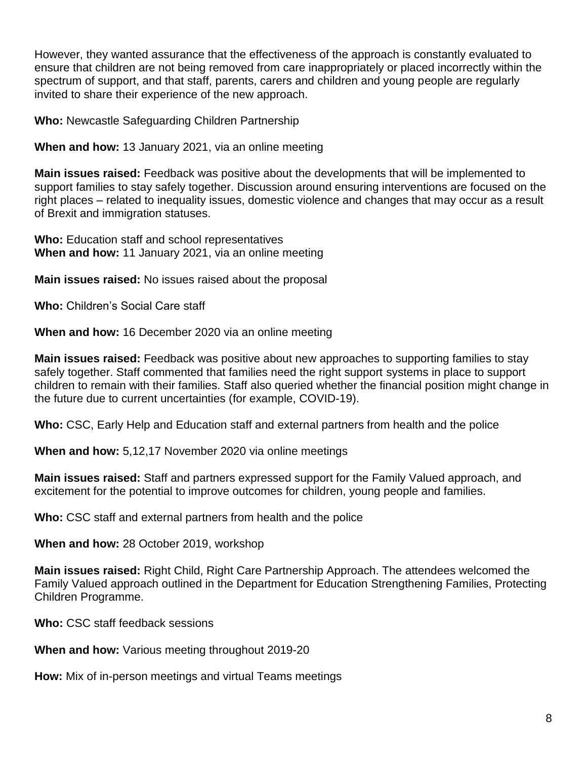However, they wanted assurance that the effectiveness of the approach is constantly evaluated to ensure that children are not being removed from care inappropriately or placed incorrectly within the spectrum of support, and that staff, parents, carers and children and young people are regularly invited to share their experience of the new approach.

**Who:** Newcastle Safeguarding Children Partnership

**When and how:** 13 January 2021, via an online meeting

**Main issues raised:** Feedback was positive about the developments that will be implemented to support families to stay safely together. Discussion around ensuring interventions are focused on the right places – related to inequality issues, domestic violence and changes that may occur as a result of Brexit and immigration statuses.

**Who:** Education staff and school representatives **When and how:** 11 January 2021, via an online meeting

**Main issues raised:** No issues raised about the proposal

**Who:** Children's Social Care staff

**When and how:** 16 December 2020 via an online meeting

**Main issues raised:** Feedback was positive about new approaches to supporting families to stay safely together. Staff commented that families need the right support systems in place to support children to remain with their families. Staff also queried whether the financial position might change in the future due to current uncertainties (for example, COVID-19).

**Who:** CSC, Early Help and Education staff and external partners from health and the police

**When and how:** 5,12,17 November 2020 via online meetings

**Main issues raised:** Staff and partners expressed support for the Family Valued approach, and excitement for the potential to improve outcomes for children, young people and families.

**Who:** CSC staff and external partners from health and the police

**When and how:** 28 October 2019, workshop

**Main issues raised:** Right Child, Right Care Partnership Approach. The attendees welcomed the Family Valued approach outlined in the Department for Education Strengthening Families, Protecting Children Programme.

**Who:** CSC staff feedback sessions

**When and how:** Various meeting throughout 2019-20

**How:** Mix of in-person meetings and virtual Teams meetings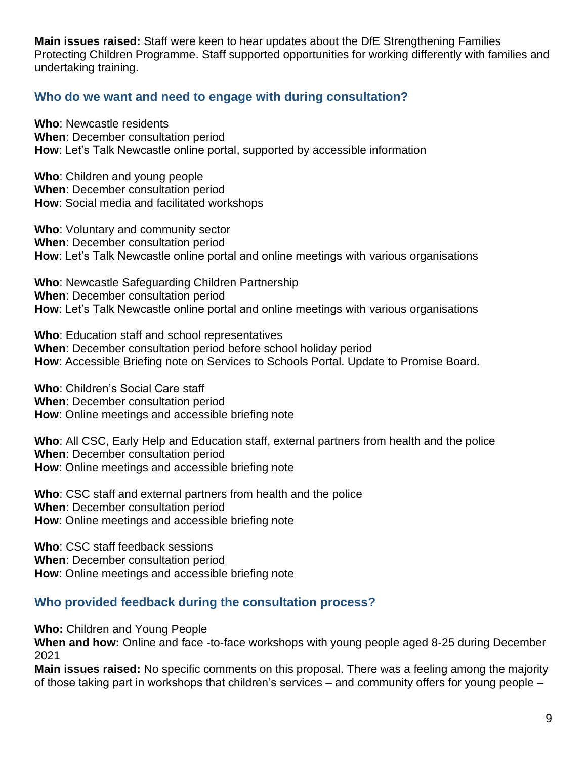**Main issues raised:** Staff were keen to hear updates about the DfE Strengthening Families Protecting Children Programme. Staff supported opportunities for working differently with families and undertaking training.

# **Who do we want and need to engage with during consultation?**

**Who**: Newcastle residents **When**: December consultation period **How**: Let's Talk Newcastle online portal, supported by accessible information

**Who**: Children and young people **When**: December consultation period **How**: Social media and facilitated workshops

**Who**: Voluntary and community sector **When**: December consultation period **How**: Let's Talk Newcastle online portal and online meetings with various organisations

**Who**: Newcastle Safeguarding Children Partnership **When**: December consultation period **How**: Let's Talk Newcastle online portal and online meetings with various organisations

**Who**: Education staff and school representatives **When**: December consultation period before school holiday period **How**: Accessible Briefing note on Services to Schools Portal. Update to Promise Board.

**Who**: Children's Social Care staff **When**: December consultation period **How**: Online meetings and accessible briefing note

**Who**: All CSC, Early Help and Education staff, external partners from health and the police **When**: December consultation period **How**: Online meetings and accessible briefing note

**Who**: CSC staff and external partners from health and the police **When**: December consultation period **How**: Online meetings and accessible briefing note

**Who**: CSC staff feedback sessions **When**: December consultation period **How**: Online meetings and accessible briefing note

# **Who provided feedback during the consultation process?**

**Who:** Children and Young People

**When and how:** Online and face -to-face workshops with young people aged 8-25 during December 2021

**Main issues raised:** No specific comments on this proposal. There was a feeling among the majority of those taking part in workshops that children's services – and community offers for young people –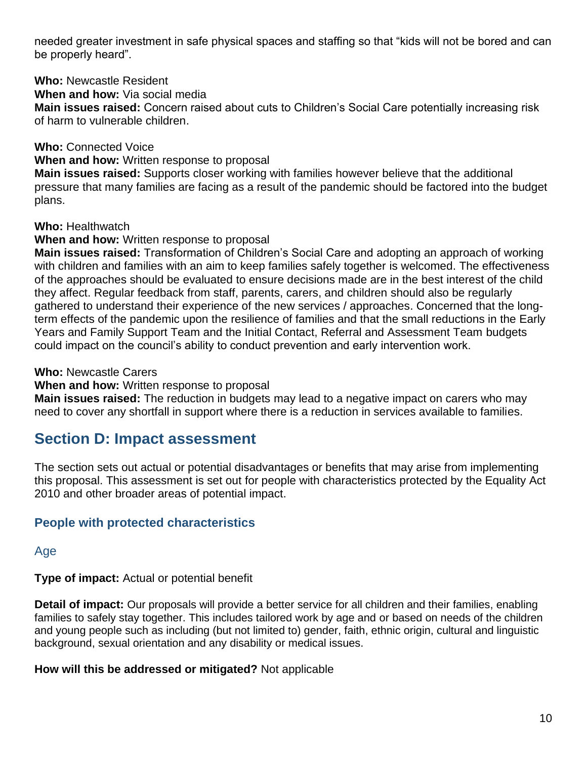needed greater investment in safe physical spaces and staffing so that "kids will not be bored and can be properly heard".

**Who:** Newcastle Resident

**When and how:** Via social media

**Main issues raised:** Concern raised about cuts to Children's Social Care potentially increasing risk of harm to vulnerable children.

**Who:** Connected Voice

**When and how:** Written response to proposal

**Main issues raised:** Supports closer working with families however believe that the additional pressure that many families are facing as a result of the pandemic should be factored into the budget plans.

**Who:** Healthwatch

**When and how:** Written response to proposal

**Main issues raised:** Transformation of Children's Social Care and adopting an approach of working with children and families with an aim to keep families safely together is welcomed. The effectiveness of the approaches should be evaluated to ensure decisions made are in the best interest of the child they affect. Regular feedback from staff, parents, carers, and children should also be regularly gathered to understand their experience of the new services / approaches. Concerned that the longterm effects of the pandemic upon the resilience of families and that the small reductions in the Early Years and Family Support Team and the Initial Contact, Referral and Assessment Team budgets could impact on the council's ability to conduct prevention and early intervention work.

**Who:** Newcastle Carers

**When and how:** Written response to proposal

**Main issues raised:** The reduction in budgets may lead to a negative impact on carers who may need to cover any shortfall in support where there is a reduction in services available to families.

# **Section D: Impact assessment**

The section sets out actual or potential disadvantages or benefits that may arise from implementing this proposal. This assessment is set out for people with characteristics protected by the Equality Act 2010 and other broader areas of potential impact.

# **People with protected characteristics**

Age

**Type of impact:** Actual or potential benefit

**Detail of impact:** Our proposals will provide a better service for all children and their families, enabling families to safely stay together. This includes tailored work by age and or based on needs of the children and young people such as including (but not limited to) gender, faith, ethnic origin, cultural and linguistic background, sexual orientation and any disability or medical issues.

**How will this be addressed or mitigated?** Not applicable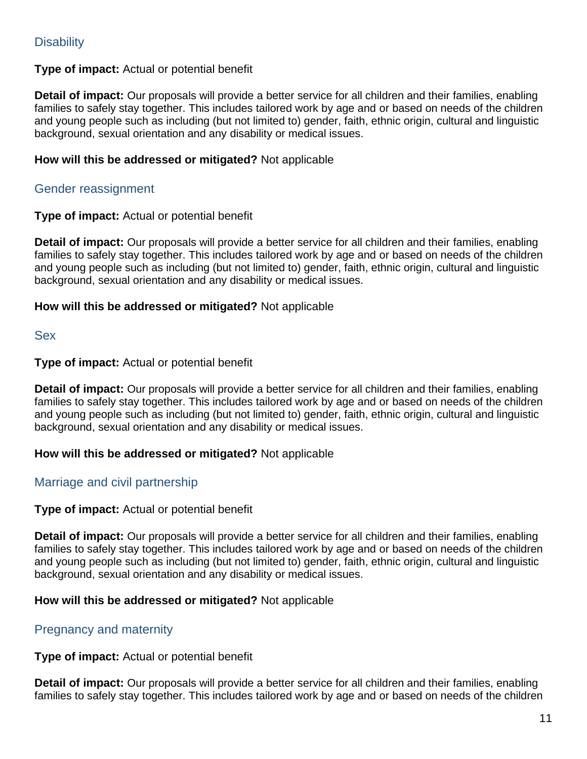# **Disability**

#### **Type of impact:** Actual or potential benefit

**Detail of impact:** Our proposals will provide a better service for all children and their families, enabling families to safely stay together. This includes tailored work by age and or based on needs of the children and young people such as including (but not limited to) gender, faith, ethnic origin, cultural and linguistic background, sexual orientation and any disability or medical issues.

#### **How will this be addressed or mitigated?** Not applicable

# Gender reassignment

#### **Type of impact:** Actual or potential benefit

**Detail of impact:** Our proposals will provide a better service for all children and their families, enabling families to safely stay together. This includes tailored work by age and or based on needs of the children and young people such as including (but not limited to) gender, faith, ethnic origin, cultural and linguistic background, sexual orientation and any disability or medical issues.

#### **How will this be addressed or mitigated?** Not applicable

Sex

#### **Type of impact:** Actual or potential benefit

**Detail of impact:** Our proposals will provide a better service for all children and their families, enabling families to safely stay together. This includes tailored work by age and or based on needs of the children and young people such as including (but not limited to) gender, faith, ethnic origin, cultural and linguistic background, sexual orientation and any disability or medical issues.

#### **How will this be addressed or mitigated?** Not applicable

# Marriage and civil partnership

# **Type of impact:** Actual or potential benefit

**Detail of impact:** Our proposals will provide a better service for all children and their families, enabling families to safely stay together. This includes tailored work by age and or based on needs of the children and young people such as including (but not limited to) gender, faith, ethnic origin, cultural and linguistic background, sexual orientation and any disability or medical issues.

#### **How will this be addressed or mitigated?** Not applicable

# Pregnancy and maternity

#### **Type of impact:** Actual or potential benefit

**Detail of impact:** Our proposals will provide a better service for all children and their families, enabling families to safely stay together. This includes tailored work by age and or based on needs of the children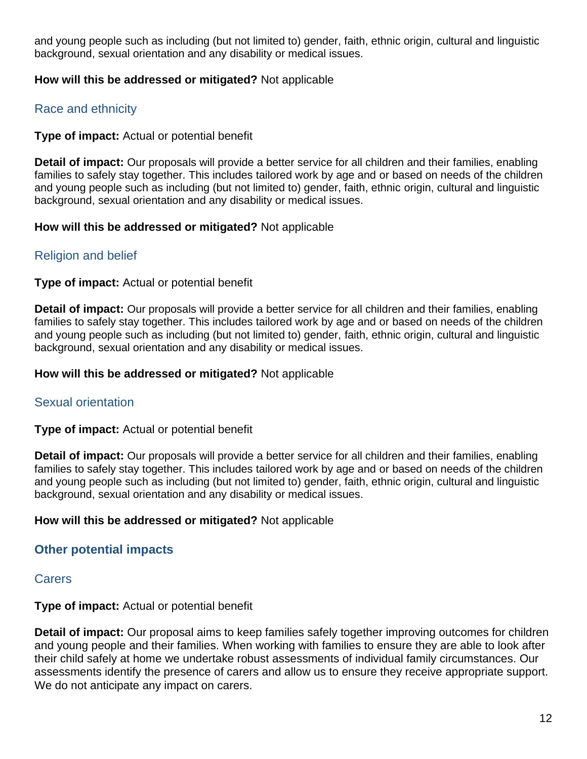and young people such as including (but not limited to) gender, faith, ethnic origin, cultural and linguistic background, sexual orientation and any disability or medical issues.

#### **How will this be addressed or mitigated?** Not applicable

# Race and ethnicity

#### **Type of impact:** Actual or potential benefit

**Detail of impact:** Our proposals will provide a better service for all children and their families, enabling families to safely stay together. This includes tailored work by age and or based on needs of the children and young people such as including (but not limited to) gender, faith, ethnic origin, cultural and linguistic background, sexual orientation and any disability or medical issues.

#### **How will this be addressed or mitigated?** Not applicable

# Religion and belief

#### **Type of impact:** Actual or potential benefit

**Detail of impact:** Our proposals will provide a better service for all children and their families, enabling families to safely stay together. This includes tailored work by age and or based on needs of the children and young people such as including (but not limited to) gender, faith, ethnic origin, cultural and linguistic background, sexual orientation and any disability or medical issues.

#### **How will this be addressed or mitigated?** Not applicable

# Sexual orientation

#### **Type of impact:** Actual or potential benefit

**Detail of impact:** Our proposals will provide a better service for all children and their families, enabling families to safely stay together. This includes tailored work by age and or based on needs of the children and young people such as including (but not limited to) gender, faith, ethnic origin, cultural and linguistic background, sexual orientation and any disability or medical issues.

#### **How will this be addressed or mitigated?** Not applicable

# **Other potential impacts**

# **Carers**

#### **Type of impact:** Actual or potential benefit

**Detail of impact:** Our proposal aims to keep families safely together improving outcomes for children and young people and their families. When working with families to ensure they are able to look after their child safely at home we undertake robust assessments of individual family circumstances. Our assessments identify the presence of carers and allow us to ensure they receive appropriate support. We do not anticipate any impact on carers.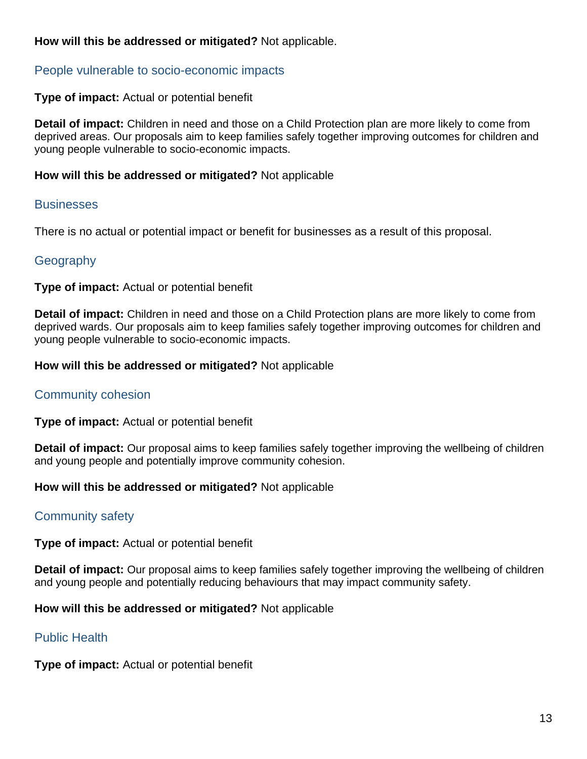# **How will this be addressed or mitigated?** Not applicable.

# People vulnerable to socio-economic impacts

# **Type of impact:** Actual or potential benefit

**Detail of impact:** Children in need and those on a Child Protection plan are more likely to come from deprived areas. Our proposals aim to keep families safely together improving outcomes for children and young people vulnerable to socio-economic impacts.

#### **How will this be addressed or mitigated?** Not applicable

# **Businesses**

There is no actual or potential impact or benefit for businesses as a result of this proposal.

# **Geography**

#### **Type of impact:** Actual or potential benefit

**Detail of impact:** Children in need and those on a Child Protection plans are more likely to come from deprived wards. Our proposals aim to keep families safely together improving outcomes for children and young people vulnerable to socio-economic impacts.

#### **How will this be addressed or mitigated?** Not applicable

# Community cohesion

**Type of impact:** Actual or potential benefit

**Detail of impact:** Our proposal aims to keep families safely together improving the wellbeing of children and young people and potentially improve community cohesion.

# **How will this be addressed or mitigated?** Not applicable

# Community safety

**Type of impact:** Actual or potential benefit

**Detail of impact:** Our proposal aims to keep families safely together improving the wellbeing of children and young people and potentially reducing behaviours that may impact community safety.

**How will this be addressed or mitigated?** Not applicable

# Public Health

**Type of impact:** Actual or potential benefit